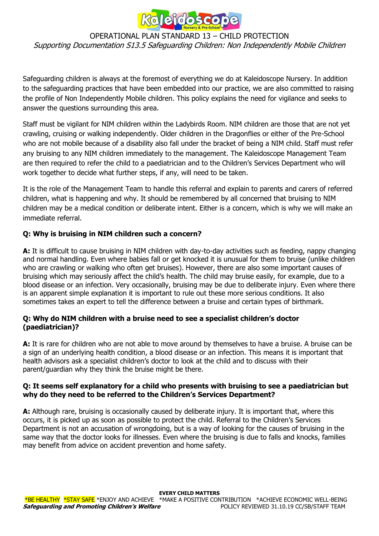

### OPERATIONAL PLAN STANDARD 13 – CHILD PROTECTION Supporting Documentation S13.5 Safeguarding Children: Non Independently Mobile Children

Safeguarding children is always at the foremost of everything we do at Kaleidoscope Nursery. In addition to the safeguarding practices that have been embedded into our practice, we are also committed to raising the profile of Non Independently Mobile children. This policy explains the need for vigilance and seeks to answer the questions surrounding this area.

Staff must be vigilant for NIM children within the Ladybirds Room. NIM children are those that are not yet crawling, cruising or walking independently. Older children in the Dragonflies or either of the Pre-School who are not mobile because of a disability also fall under the bracket of being a NIM child. Staff must refer any bruising to any NIM children immediately to the management. The Kaleidoscope Management Team are then required to refer the child to a paediatrician and to the Children's Services Department who will work together to decide what further steps, if any, will need to be taken.

It is the role of the Management Team to handle this referral and explain to parents and carers of referred children, what is happening and why. It should be remembered by all concerned that bruising to NIM children may be a medical condition or deliberate intent. Either is a concern, which is why we will make an immediate referral.

## **Q: Why is bruising in NIM children such a concern?**

**A:** It is difficult to cause bruising in NIM children with day-to-day activities such as feeding, nappy changing and normal handling. Even where babies fall or get knocked it is unusual for them to bruise (unlike children who are crawling or walking who often get bruises). However, there are also some important causes of bruising which may seriously affect the child's health. The child may bruise easily, for example, due to a blood disease or an infection. Very occasionally, bruising may be due to deliberate injury. Even where there is an apparent simple explanation it is important to rule out these more serious conditions. It also sometimes takes an expert to tell the difference between a bruise and certain types of birthmark.

## **Q: Why do NIM children with a bruise need to see a specialist children's doctor (paediatrician)?**

**A:** It is rare for children who are not able to move around by themselves to have a bruise. A bruise can be a sign of an underlying health condition, a blood disease or an infection. This means it is important that health advisors ask a specialist children's doctor to look at the child and to discuss with their parent/guardian why they think the bruise might be there.

### **Q: It seems self explanatory for a child who presents with bruising to see a paediatrician but why do they need to be referred to the Children's Services Department?**

**A:** Although rare, bruising is occasionally caused by deliberate injury. It is important that, where this occurs, it is picked up as soon as possible to protect the child. Referral to the Children's Services Department is not an accusation of wrongdoing, but is a way of looking for the causes of bruising in the same way that the doctor looks for illnesses. Even where the bruising is due to falls and knocks, families may benefit from advice on accident prevention and home safety.